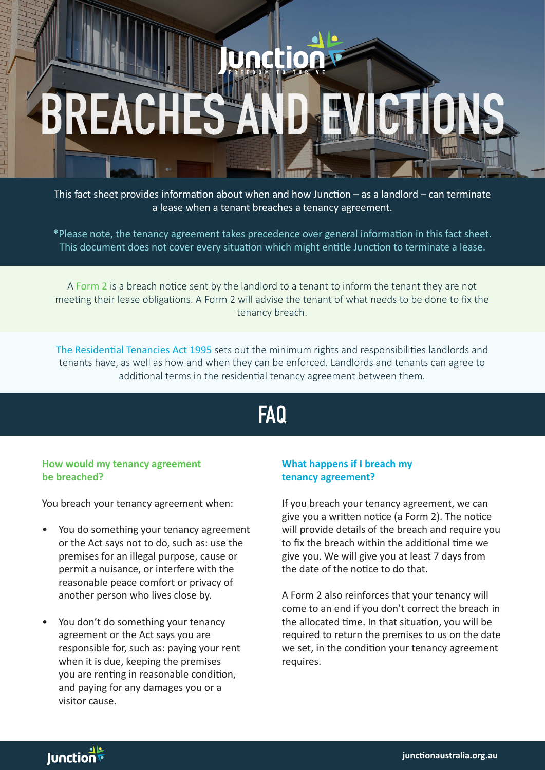# **EACHES**

This fact sheet provides information about when and how Junction – as a landlord – can terminate a lease when a tenant breaches a tenancy agreement.

\*Please note, the tenancy agreement takes precedence over general information in this fact sheet. This document does not cover every situation which might entitle Junction to terminate a lease.

A Form 2 is a breach notice sent by the landlord to a tenant to inform the tenant they are not meeting their lease obligations. A Form 2 will advise the tenant of what needs to be done to fix the tenancy breach.

The Residential Tenancies Act 1995 sets out the minimum rights and responsibilities landlords and tenants have, as well as how and when they can be enforced. Landlords and tenants can agree to additional terms in the residential tenancy agreement between them.

# **FAQ**

### **How would my tenancy agreement be breached?**

I

You breach your tenancy agreement when:

- You do something your tenancy agreement or the Act says not to do, such as: use the premises for an illegal purpose, cause or permit a nuisance, or interfere with the reasonable peace comfort or privacy of another person who lives close by.
- You don't do something your tenancy agreement or the Act says you are responsible for, such as: paying your rent when it is due, keeping the premises you are renting in reasonable condition, and paying for any damages you or a visitor cause.

# **What happens if I breach my tenancy agreement?**

If you breach your tenancy agreement, we can give you a written notice (a Form 2). The notice will provide details of the breach and require you to fix the breach within the additional time we give you. We will give you at least 7 days from the date of the notice to do that.

A Form 2 also reinforces that your tenancy will come to an end if you don't correct the breach in the allocated time. In that situation, you will be required to return the premises to us on the date we set, in the condition your tenancy agreement requires.